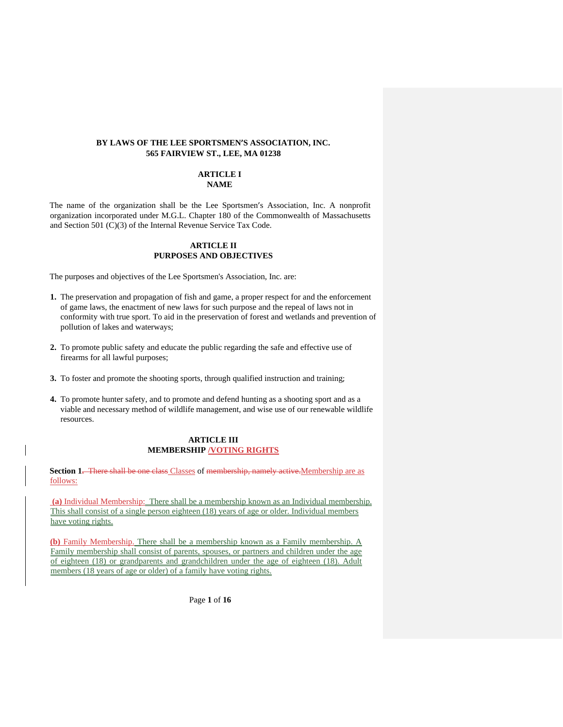## **BY LAWS OF THE LEE SPORTSMEN'S ASSOCIATION, INC. 565 FAIRVIEW ST., LEE, MA 01238**

# **ARTICLE I NAME**

The name of the organization shall be the Lee Sportsmen's Association, Inc. A nonprofit organization incorporated under M.G.L. Chapter 180 of the Commonwealth of Massachusetts and Section 501 (C)(3) of the Internal Revenue Service Tax Code.

## **ARTICLE II PURPOSES AND OBJECTIVES**

The purposes and objectives of the Lee Sportsmen's Association, Inc. are:

- **1.** The preservation and propagation of fish and game, a proper respect for and the enforcement of game laws, the enactment of new laws for such purpose and the repeal of laws not in conformity with true sport. To aid in the preservation of forest and wetlands and prevention of pollution of lakes and waterways;
- **2.** To promote public safety and educate the public regarding the safe and effective use of firearms for all lawful purposes;
- **3.** To foster and promote the shooting sports, through qualified instruction and training;
- **4.** To promote hunter safety, and to promote and defend hunting as a shooting sport and as a viable and necessary method of wildlife management, and wise use of our renewable wildlife resources.

# **ARTICLE III MEMBERSHIP /VOTING RIGHTS**

**Section 1.** There shall be one class Classes of membership, namely active. Membership are as follows:

**(a)** Individual Membership:There shall be a membership known as an Individual membership. This shall consist of a single person eighteen (18) years of age or older. Individual members have voting rights.

**(b)** Family Membership. There shall be a membership known as a Family membership. A Family membership shall consist of parents, spouses, or partners and children under the age of eighteen (18) or grandparents and grandchildren under the age of eighteen (18). Adult members (18 years of age or older) of a family have voting rights.

Page **1** of **16**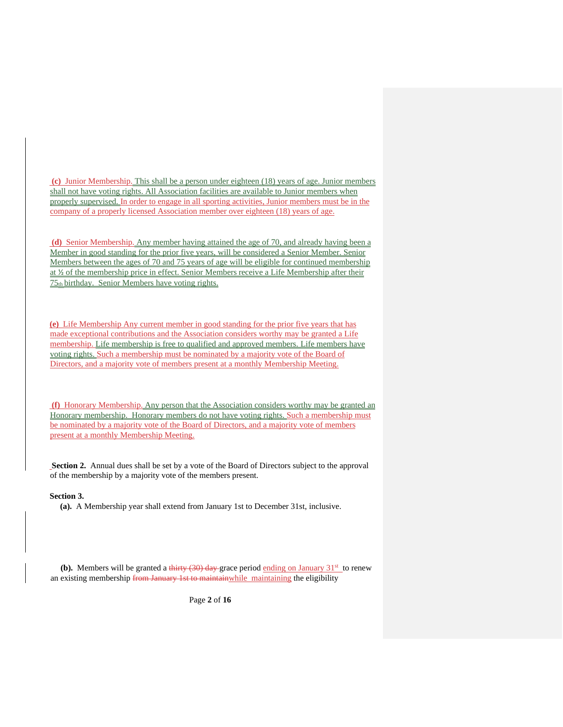**(c)** Junior Membership. This shall be a person under eighteen (18) years of age. Junior members shall not have voting rights. All Association facilities are available to Junior members when properly supervised. In order to engage in all sporting activities, Junior members must be in the company of a properly licensed Association member over eighteen (18) years of age.

**(d)** Senior Membership. Any member having attained the age of 70, and already having been a Member in good standing for the prior five years, will be considered a Senior Member. Senior Members between the ages of 70 and 75 years of age will be eligible for continued membership at ½ of the membership price in effect. Senior Members receive a Life Membership after their  $75<sub>th</sub>$  birthday. Senior Members have voting rights.

**(e)** Life Membership Any current member in good standing for the prior five years that has made exceptional contributions and the Association considers worthy may be granted a Life membership. Life membership is free to qualified and approved members. Life members have voting rights. Such a membership must be nominated by a majority vote of the Board of Directors, and a majority vote of members present at a monthly Membership Meeting.

**(f)** Honorary Membership. Any person that the Association considers worthy may be granted an Honorary membership. Honorary members do not have voting rights. Such a membership must be nominated by a majority vote of the Board of Directors, and a majority vote of members present at a monthly Membership Meeting.

**Section 2.** Annual dues shall be set by a vote of the Board of Directors subject to the approval of the membership by a majority vote of the members present.

### **Section 3.**

 **(a).** A Membership year shall extend from January 1st to December 31st, inclusive.

**(b).** Members will be granted a thirty  $(30)$  day grace period ending on January  $31<sup>st</sup>$  to renew an existing membership from January 1st to maintainwhile maintaining the eligibility

Page **2** of **16**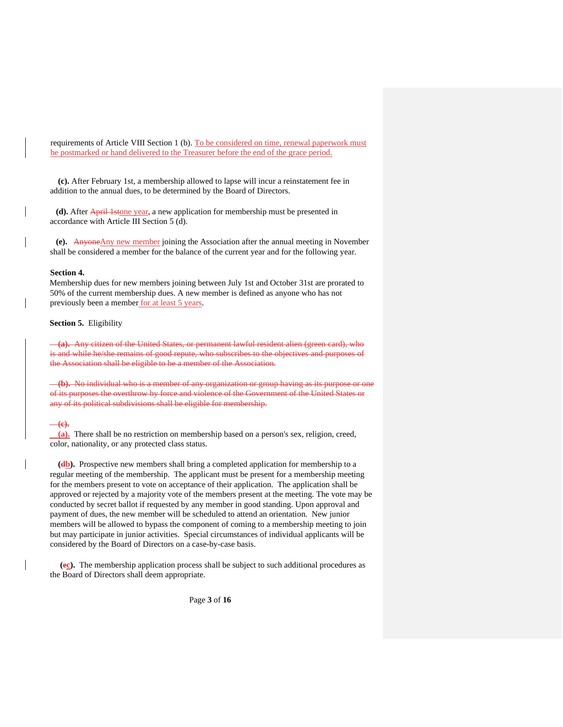requirements of Article VIII Section 1 (b). To be considered on time, renewal paperwork must be postmarked or hand delivered to the Treasurer before the end of the grace period.

 **(c).** After February 1st, a membership allowed to lapse will incur a reinstatement fee in addition to the annual dues, to be determined by the Board of Directors.

 **(d).** After April 1stone year, a new application for membership must be presented in accordance with Article III Section 5 (d).

 **(e).** AnyoneAny new member joining the Association after the annual meeting in November shall be considered a member for the balance of the current year and for the following year.

#### **Section 4.**

Membership dues for new members joining between July 1st and October 31st are prorated to 50% of the current membership dues. A new member is defined as anyone who has not previously been a member for at least 5 years.

## **Section 5.** Eligibility

 **(a).** Any citizen of the United States, or permanent lawful resident alien (green card), who is and while he/she remains of good repute, who subscribes to the objectives and purposes of the Association shall be eligible to be a member of the Association.

 **(b).** No individual who is a member of any organization or group having as its purpose or one of its purposes the overthrow by force and violence of the Government of the United States or any of its political subdivisions shall be eligible for membership.

#### **(c).**

 **(a).** There shall be no restriction on membership based on a person's sex, religion, creed, color, nationality, or any protected class status.

**(db).** Prospective new members shall bring a completed application for membership to a regular meeting of the membership. The applicant must be present for a membership meeting for the members present to vote on acceptance of their application. The application shall be approved or rejected by a majority vote of the members present at the meeting. The vote may be conducted by secret ballot if requested by any member in good standing. Upon approval and payment of dues, the new member will be scheduled to attend an orientation. New junior members will be allowed to bypass the component of coming to a membership meeting to join but may participate in junior activities. Special circumstances of individual applicants will be considered by the Board of Directors on a case-by-case basis.

 **(ec).** The membership application process shall be subject to such additional procedures as the Board of Directors shall deem appropriate.

Page **3** of **16**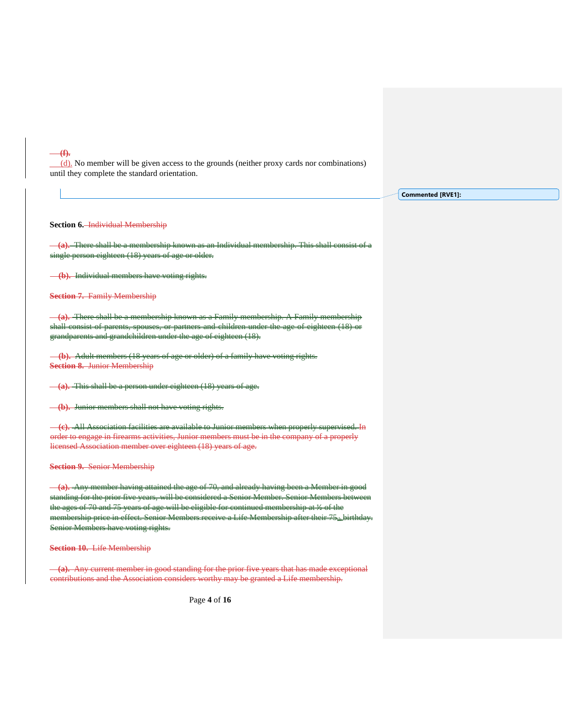(d). No member will be given access to the grounds (neither proxy cards nor combinations) until they complete the standard orientation.

**Commented [RVE1]:** 

**Section 6.** Individual Membership

**(f).**

 **(a).** There shall be a membership known as an Individual membership. This shall consist of a single person eighteen (18) years of age or older.

 **(b).** Individual members have voting rights.

**Section 7.** Family Membership

**(a).** There shall be a membership known as a Family membership. shall consist of parents, spouses, or partners and children under the age of eighteen (18 grandparents and grandchildren under the age of eighteen (18).

 **(b).** Adult members (18 years of age or older) of a family have voting rights. **Section 8.** Junior Membership

 **(a).** This shall be a person under eighteen (18) years of age.

 **(b).** Junior members shall not have voting rights.

 **(c).** All Association facilities are available to Junior members when properly supervised. In order to engage in firearms activities, Junior members must be in the company of a properly licensed Association member over eighteen (18) years of age.

**Section 9.** Senior Membership

 **(a).** Any member having attained the age of 70, and already having been a Member in good standing for the prior five years, will be considered a Senior Member. Senior Members betw the ages of 70 and 75 years of age will be eligible for continued membership at ½ of the mbership price in effect. Senior Members receive a Life Membership after their 75... birthday. Senior Members have voting rights.

**Section 10.** Life Membership

 **(a).** Any current member in good standing for the prior five years that has made exceptional contributions and the Association considers worthy may be granted a Life membership.

Page **4** of **16**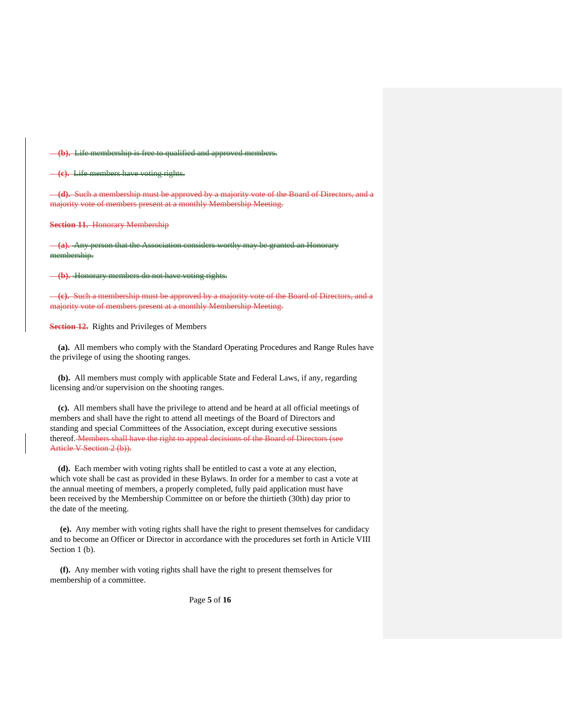**Life membership is free to qualified and approved members.** 

 **(c).** Life members have voting rights.

 **(d).** Such a membership must be approved by a majority vote of the Board of Directors, and a majority vote of members present at a monthly Membership Meeting.

**Section 11.** Honorary Membership

**(a). Any personal constants** membership.

 **(b).** Honorary members do not have voting rights.

 **(c).** Such a membership must be approved by a majority vote of the Board of Directors, and a majority vote of members present at a monthly Membership Meeting.

**Section 12.** Rights and Privileges of Members

 **(a).** All members who comply with the Standard Operating Procedures and Range Rules have the privilege of using the shooting ranges.

 **(b).** All members must comply with applicable State and Federal Laws, if any, regarding licensing and/or supervision on the shooting ranges.

 **(c).** All members shall have the privilege to attend and be heard at all official meetings of members and shall have the right to attend all meetings of the Board of Directors and standing and special Committees of the Association, except during executive sessions thereof. Members shall have the right to appeal decisions of the Board of Directors (see Article V Section 2 (b)).

 **(d).** Each member with voting rights shall be entitled to cast a vote at any election, which vote shall be cast as provided in these Bylaws. In order for a member to cast a vote at the annual meeting of members, a properly completed, fully paid application must have been received by the Membership Committee on or before the thirtieth (30th) day prior to the date of the meeting.

 **(e).** Any member with voting rights shall have the right to present themselves for candidacy and to become an Officer or Director in accordance with the procedures set forth in Article VIII Section 1 (b).

 **(f).** Any member with voting rights shall have the right to present themselves for membership of a committee.

Page **5** of **16**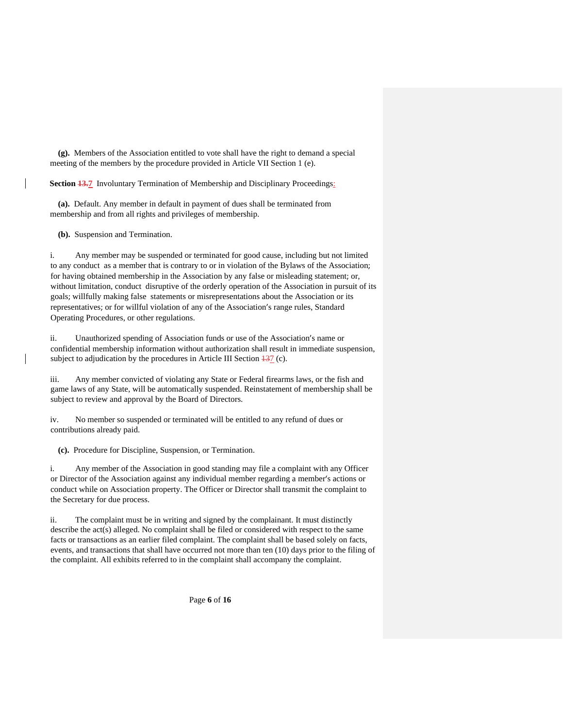**(g).** Members of the Association entitled to vote shall have the right to demand a special meeting of the members by the procedure provided in Article VII Section 1 (e).

**Section 13.7** Involuntary Termination of Membership and Disciplinary Proceedings:

 **(a).** Default. Any member in default in payment of dues shall be terminated from membership and from all rights and privileges of membership.

 **(b).** Suspension and Termination.

i. Any member may be suspended or terminated for good cause, including but not limited to any conduct as a member that is contrary to or in violation of the Bylaws of the Association; for having obtained membership in the Association by any false or misleading statement; or, without limitation, conduct disruptive of the orderly operation of the Association in pursuit of its goals; willfully making false statements or misrepresentations about the Association or its representatives; or for willful violation of any of the Association's range rules, Standard Operating Procedures, or other regulations.

ii. Unauthorized spending of Association funds or use of the Association's name or confidential membership information without authorization shall result in immediate suspension, subject to adjudication by the procedures in Article III Section  $\frac{137}{13}$  (c).

iii. Any member convicted of violating any State or Federal firearms laws, or the fish and game laws of any State, will be automatically suspended. Reinstatement of membership shall be subject to review and approval by the Board of Directors.

iv. No member so suspended or terminated will be entitled to any refund of dues or contributions already paid.

 **(c).** Procedure for Discipline, Suspension, or Termination.

i. Any member of the Association in good standing may file a complaint with any Officer or Director of the Association against any individual member regarding a member's actions or conduct while on Association property. The Officer or Director shall transmit the complaint to the Secretary for due process.

ii. The complaint must be in writing and signed by the complainant. It must distinctly describe the act(s) alleged. No complaint shall be filed or considered with respect to the same facts or transactions as an earlier filed complaint. The complaint shall be based solely on facts, events, and transactions that shall have occurred not more than ten (10) days prior to the filing of the complaint. All exhibits referred to in the complaint shall accompany the complaint.

Page **6** of **16**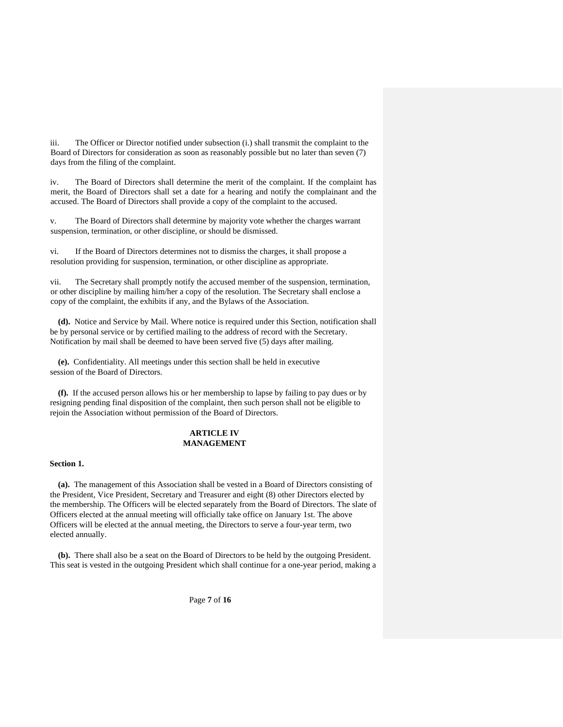iii. The Officer or Director notified under subsection (i.) shall transmit the complaint to the Board of Directors for consideration as soon as reasonably possible but no later than seven (7) days from the filing of the complaint.

iv. The Board of Directors shall determine the merit of the complaint. If the complaint has merit, the Board of Directors shall set a date for a hearing and notify the complainant and the accused. The Board of Directors shall provide a copy of the complaint to the accused.

v. The Board of Directors shall determine by majority vote whether the charges warrant suspension, termination, or other discipline, or should be dismissed.

vi. If the Board of Directors determines not to dismiss the charges, it shall propose a resolution providing for suspension, termination, or other discipline as appropriate.

vii. The Secretary shall promptly notify the accused member of the suspension, termination, or other discipline by mailing him/her a copy of the resolution. The Secretary shall enclose a copy of the complaint, the exhibits if any, and the Bylaws of the Association.

 **(d).** Notice and Service by Mail. Where notice is required under this Section, notification shall be by personal service or by certified mailing to the address of record with the Secretary. Notification by mail shall be deemed to have been served five (5) days after mailing.

 **(e).** Confidentiality. All meetings under this section shall be held in executive session of the Board of Directors.

 **(f).** If the accused person allows his or her membership to lapse by failing to pay dues or by resigning pending final disposition of the complaint, then such person shall not be eligible to rejoin the Association without permission of the Board of Directors.

# **ARTICLE IV MANAGEMENT**

#### **Section 1.**

 **(a).** The management of this Association shall be vested in a Board of Directors consisting of the President, Vice President, Secretary and Treasurer and eight (8) other Directors elected by the membership. The Officers will be elected separately from the Board of Directors. The slate of Officers elected at the annual meeting will officially take office on January 1st. The above Officers will be elected at the annual meeting, the Directors to serve a four-year term, two elected annually.

 **(b).** There shall also be a seat on the Board of Directors to be held by the outgoing President. This seat is vested in the outgoing President which shall continue for a one-year period, making a

Page **7** of **16**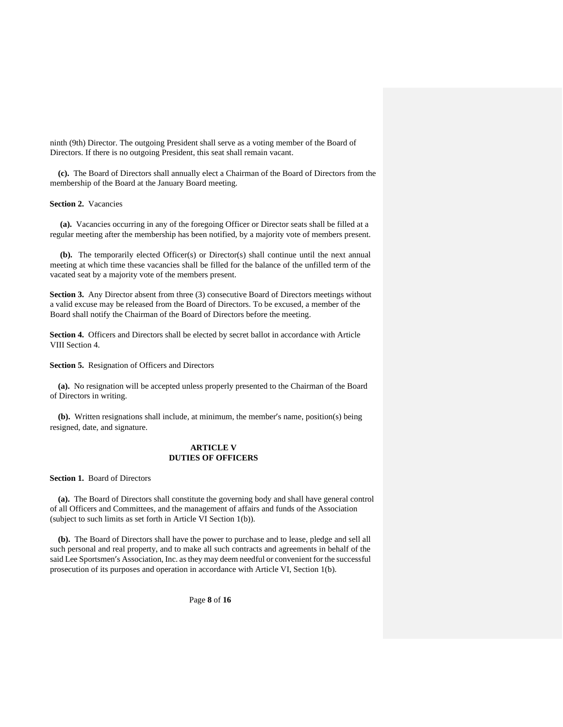ninth (9th) Director. The outgoing President shall serve as a voting member of the Board of Directors. If there is no outgoing President, this seat shall remain vacant.

 **(c).** The Board of Directors shall annually elect a Chairman of the Board of Directors from the membership of the Board at the January Board meeting.

**Section 2.** Vacancies

 **(a).** Vacancies occurring in any of the foregoing Officer or Director seats shall be filled at a regular meeting after the membership has been notified, by a majority vote of members present.

 **(b).** The temporarily elected Officer(s) or Director(s) shall continue until the next annual meeting at which time these vacancies shall be filled for the balance of the unfilled term of the vacated seat by a majority vote of the members present.

**Section 3.** Any Director absent from three (3) consecutive Board of Directors meetings without a valid excuse may be released from the Board of Directors. To be excused, a member of the Board shall notify the Chairman of the Board of Directors before the meeting.

**Section 4.** Officers and Directors shall be elected by secret ballot in accordance with Article VIII Section 4.

**Section 5.** Resignation of Officers and Directors

 **(a).** No resignation will be accepted unless properly presented to the Chairman of the Board of Directors in writing.

 **(b).** Written resignations shall include, at minimum, the member's name, position(s) being resigned, date, and signature.

## **ARTICLE V DUTIES OF OFFICERS**

**Section 1.** Board of Directors

 **(a).** The Board of Directors shall constitute the governing body and shall have general control of all Officers and Committees, and the management of affairs and funds of the Association (subject to such limits as set forth in Article VI Section 1(b)).

 **(b).** The Board of Directors shall have the power to purchase and to lease, pledge and sell all such personal and real property, and to make all such contracts and agreements in behalf of the said Lee Sportsmen's Association, Inc. as they may deem needful or convenient for the successful prosecution of its purposes and operation in accordance with Article VI, Section 1(b).

Page **8** of **16**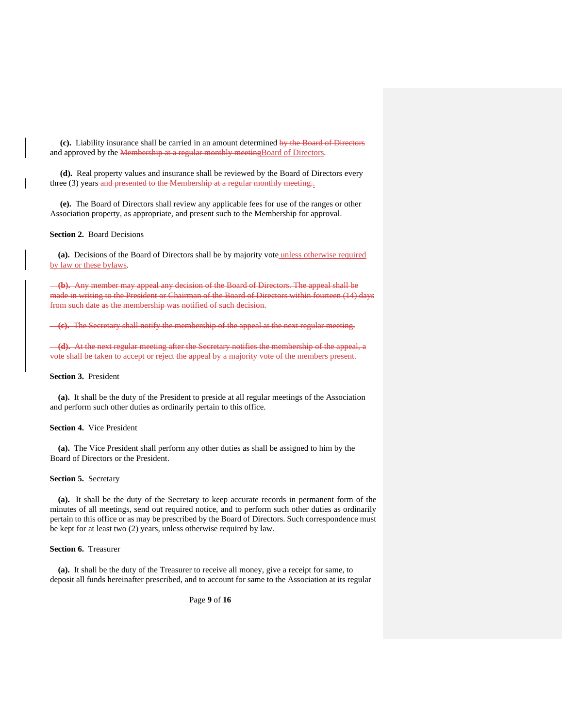**(c).** Liability insurance shall be carried in an amount determined by the Board of Directors and approved by the Membership at a regular monthly meetingBoard of Directors.

 **(d).** Real property values and insurance shall be reviewed by the Board of Directors every three (3) years and presented to the Membership at a regular monthly meeting.

 **(e).** The Board of Directors shall review any applicable fees for use of the ranges or other Association property, as appropriate, and present such to the Membership for approval.

#### **Section 2.** Board Decisions

 **(a).** Decisions of the Board of Directors shall be by majority vote unless otherwise required by law or these bylaws.

 **(b).** Any member may appeal any decision of the Board of Directors. The appeal shall be made in writing to the President or Chairman of the Board of Directors within fourteen (14) days from such date as the membership was notified of such decision.

**(c).** The Secretary shall notify the membership of the appeal at the next regular meeting.

 **(d).** At the next regular meeting after the Secretary notifies the membership of the appeal, a vote shall be taken to accept or reject the appeal by a majority vote of the members present.

## **Section 3.** President

 **(a).** It shall be the duty of the President to preside at all regular meetings of the Association and perform such other duties as ordinarily pertain to this office.

### **Section 4.** Vice President

 **(a).** The Vice President shall perform any other duties as shall be assigned to him by the Board of Directors or the President.

#### **Section 5.** Secretary

 **(a).** It shall be the duty of the Secretary to keep accurate records in permanent form of the minutes of all meetings, send out required notice, and to perform such other duties as ordinarily pertain to this office or as may be prescribed by the Board of Directors. Such correspondence must be kept for at least two (2) years, unless otherwise required by law.

#### **Section 6.** Treasurer

 **(a).** It shall be the duty of the Treasurer to receive all money, give a receipt for same, to deposit all funds hereinafter prescribed, and to account for same to the Association at its regular

Page **9** of **16**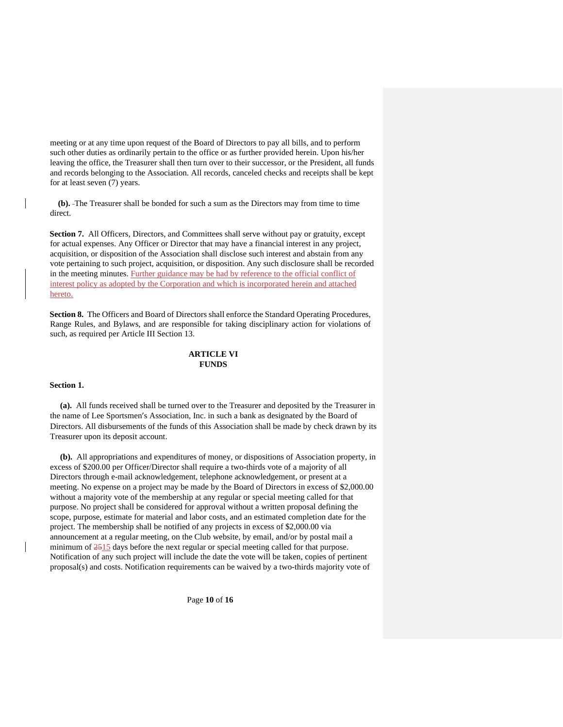meeting or at any time upon request of the Board of Directors to pay all bills, and to perform such other duties as ordinarily pertain to the office or as further provided herein. Upon his/her leaving the office, the Treasurer shall then turn over to their successor, or the President, all funds and records belonging to the Association. All records, canceled checks and receipts shall be kept for at least seven (7) years.

 **(b).** The Treasurer shall be bonded for such a sum as the Directors may from time to time direct.

**Section 7.** All Officers, Directors, and Committees shall serve without pay or gratuity, except for actual expenses. Any Officer or Director that may have a financial interest in any project, acquisition, or disposition of the Association shall disclose such interest and abstain from any vote pertaining to such project, acquisition, or disposition. Any such disclosure shall be recorded in the meeting minutes. Further guidance may be had by reference to the official conflict of interest policy as adopted by the Corporation and which is incorporated herein and attached hereto.

**Section 8.** The Officers and Board of Directors shall enforce the Standard Operating Procedures, Range Rules, and Bylaws, and are responsible for taking disciplinary action for violations of such, as required per Article III Section 13.

# **ARTICLE VI FUNDS**

### **Section 1.**

 **(a).** All funds received shall be turned over to the Treasurer and deposited by the Treasurer in the name of Lee Sportsmen's Association, Inc. in such a bank as designated by the Board of Directors. All disbursements of the funds of this Association shall be made by check drawn by its Treasurer upon its deposit account.

 **(b).** All appropriations and expenditures of money, or dispositions of Association property, in excess of \$200.00 per Officer/Director shall require a two-thirds vote of a majority of all Directors through e-mail acknowledgement, telephone acknowledgement, or present at a meeting. No expense on a project may be made by the Board of Directors in excess of \$2,000.00 without a majority vote of the membership at any regular or special meeting called for that purpose. No project shall be considered for approval without a written proposal defining the scope, purpose, estimate for material and labor costs, and an estimated completion date for the project. The membership shall be notified of any projects in excess of \$2,000.00 via announcement at a regular meeting, on the Club website, by email, and/or by postal mail a minimum of  $\frac{2515}{25}$  days before the next regular or special meeting called for that purpose. Notification of any such project will include the date the vote will be taken, copies of pertinent proposal(s) and costs. Notification requirements can be waived by a two-thirds majority vote of

Page **10** of **16**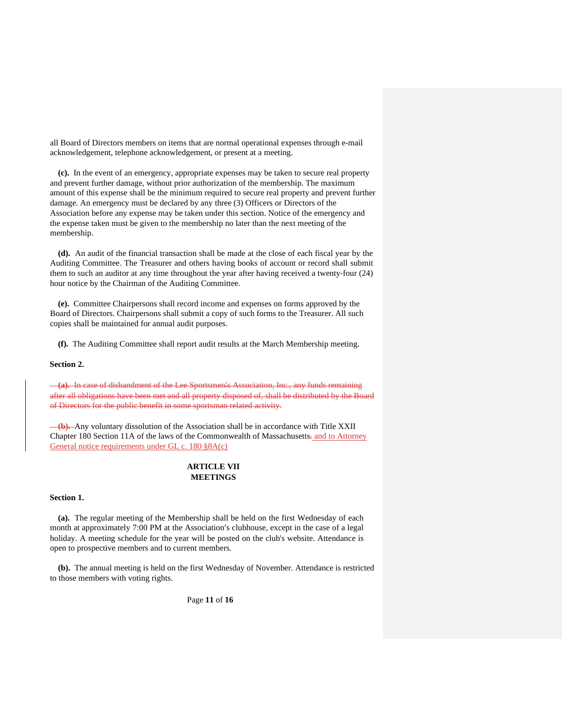all Board of Directors members on items that are normal operational expenses through e-mail acknowledgement, telephone acknowledgement, or present at a meeting.

 **(c).** In the event of an emergency, appropriate expenses may be taken to secure real property and prevent further damage, without prior authorization of the membership. The maximum amount of this expense shall be the minimum required to secure real property and prevent further damage. An emergency must be declared by any three (3) Officers or Directors of the Association before any expense may be taken under this section. Notice of the emergency and the expense taken must be given to the membership no later than the next meeting of the membership.

 **(d).** An audit of the financial transaction shall be made at the close of each fiscal year by the Auditing Committee. The Treasurer and others having books of account or record shall submit them to such an auditor at any time throughout the year after having received a twenty-four (24) hour notice by the Chairman of the Auditing Committee.

 **(e).** Committee Chairpersons shall record income and expenses on forms approved by the Board of Directors. Chairpersons shall submit a copy of such forms to the Treasurer. All such copies shall be maintained for annual audit purposes.

 **(f).** The Auditing Committee shall report audit results at the March Membership meeting.

#### **Section 2.**

 **(a).** In case of disbandment of the Lee Sportsmen's Association, Inc., any funds remaining after all obligations have been met and all property disposed of, shall be distributed by the Board of Directors for the public benefit in some sportsman related activity.

 **(b).** Any voluntary dissolution of the Association shall be in accordance with Title XXII Chapter 180 Section 11A of the laws of the Commonwealth of Massachusetts-and to Attorney General notice requirements under GL c. 180 §8A(c)

# **ARTICLE VII MEETINGS**

## **Section 1.**

 **(a).** The regular meeting of the Membership shall be held on the first Wednesday of each month at approximately 7:00 PM at the Association's clubhouse, except in the case of a legal holiday. A meeting schedule for the year will be posted on the club's website. Attendance is open to prospective members and to current members.

 **(b).** The annual meeting is held on the first Wednesday of November. Attendance is restricted to those members with voting rights.

Page **11** of **16**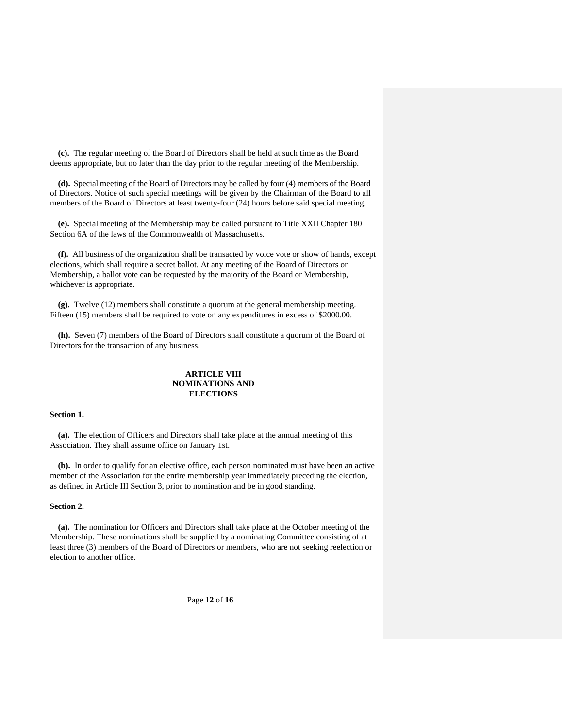**(c).** The regular meeting of the Board of Directors shall be held at such time as the Board deems appropriate, but no later than the day prior to the regular meeting of the Membership.

 **(d).** Special meeting of the Board of Directors may be called by four (4) members of the Board of Directors. Notice of such special meetings will be given by the Chairman of the Board to all members of the Board of Directors at least twenty-four (24) hours before said special meeting.

 **(e).** Special meeting of the Membership may be called pursuant to Title XXII Chapter 180 Section 6A of the laws of the Commonwealth of Massachusetts.

 **(f).** All business of the organization shall be transacted by voice vote or show of hands, except elections, which shall require a secret ballot. At any meeting of the Board of Directors or Membership, a ballot vote can be requested by the majority of the Board or Membership, whichever is appropriate.

 **(g).** Twelve (12) members shall constitute a quorum at the general membership meeting. Fifteen (15) members shall be required to vote on any expenditures in excess of \$2000.00.

 **(h).** Seven (7) members of the Board of Directors shall constitute a quorum of the Board of Directors for the transaction of any business.

## **ARTICLE VIII NOMINATIONS AND ELECTIONS**

### **Section 1.**

 **(a).** The election of Officers and Directors shall take place at the annual meeting of this Association. They shall assume office on January 1st.

 **(b).** In order to qualify for an elective office, each person nominated must have been an active member of the Association for the entire membership year immediately preceding the election, as defined in Article III Section 3, prior to nomination and be in good standing.

## **Section 2.**

 **(a).** The nomination for Officers and Directors shall take place at the October meeting of the Membership. These nominations shall be supplied by a nominating Committee consisting of at least three (3) members of the Board of Directors or members, who are not seeking reelection or election to another office.

Page **12** of **16**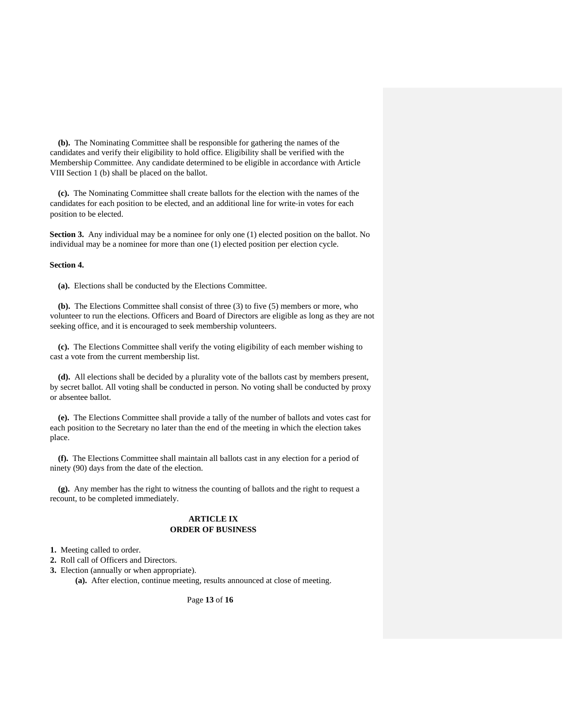**(b).** The Nominating Committee shall be responsible for gathering the names of the candidates and verify their eligibility to hold office. Eligibility shall be verified with the Membership Committee. Any candidate determined to be eligible in accordance with Article VIII Section 1 (b) shall be placed on the ballot.

 **(c).** The Nominating Committee shall create ballots for the election with the names of the candidates for each position to be elected, and an additional line for write-in votes for each position to be elected.

**Section 3.** Any individual may be a nominee for only one (1) elected position on the ballot. No individual may be a nominee for more than one (1) elected position per election cycle.

#### **Section 4.**

 **(a).** Elections shall be conducted by the Elections Committee.

 **(b).** The Elections Committee shall consist of three (3) to five (5) members or more, who volunteer to run the elections. Officers and Board of Directors are eligible as long as they are not seeking office, and it is encouraged to seek membership volunteers.

 **(c).** The Elections Committee shall verify the voting eligibility of each member wishing to cast a vote from the current membership list.

 **(d).** All elections shall be decided by a plurality vote of the ballots cast by members present, by secret ballot. All voting shall be conducted in person. No voting shall be conducted by proxy or absentee ballot.

 **(e).** The Elections Committee shall provide a tally of the number of ballots and votes cast for each position to the Secretary no later than the end of the meeting in which the election takes place.

 **(f).** The Elections Committee shall maintain all ballots cast in any election for a period of ninety (90) days from the date of the election.

 **(g).** Any member has the right to witness the counting of ballots and the right to request a recount, to be completed immediately.

## **ARTICLE IX ORDER OF BUSINESS**

**1.** Meeting called to order.

**2.** Roll call of Officers and Directors.

**3.** Election (annually or when appropriate).

**(a).** After election, continue meeting, results announced at close of meeting.

Page **13** of **16**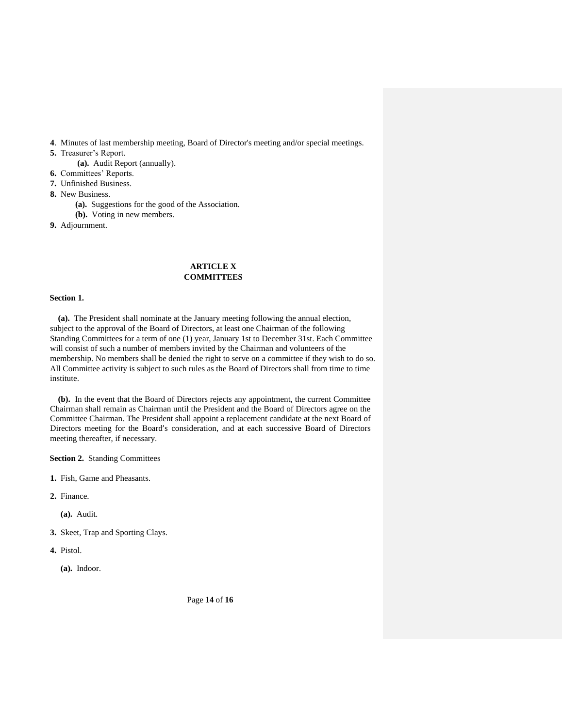**4**. Minutes of last membership meeting, Board of Director's meeting and/or special meetings.

- **5.** Treasurer's Report.
	- **(a).** Audit Report (annually).
- **6.** Committees' Reports.
- **7.** Unfinished Business.
- **8.** New Business.
	- **(a).** Suggestions for the good of the Association.
	- **(b).** Voting in new members.
- **9.** Adjournment.

# **ARTICLE X COMMITTEES**

#### **Section 1.**

 **(a).** The President shall nominate at the January meeting following the annual election, subject to the approval of the Board of Directors, at least one Chairman of the following Standing Committees for a term of one (1) year, January 1st to December 31st. Each Committee will consist of such a number of members invited by the Chairman and volunteers of the membership. No members shall be denied the right to serve on a committee if they wish to do so. All Committee activity is subject to such rules as the Board of Directors shall from time to time institute.

 **(b).** In the event that the Board of Directors rejects any appointment, the current Committee Chairman shall remain as Chairman until the President and the Board of Directors agree on the Committee Chairman. The President shall appoint a replacement candidate at the next Board of Directors meeting for the Board's consideration, and at each successive Board of Directors meeting thereafter, if necessary.

**Section 2.** Standing Committees

- **1.** Fish, Game and Pheasants.
- **2.** Finance.

**(a).** Audit.

- **3.** Skeet, Trap and Sporting Clays.
- **4.** Pistol.
	- **(a).** Indoor.

Page **14** of **16**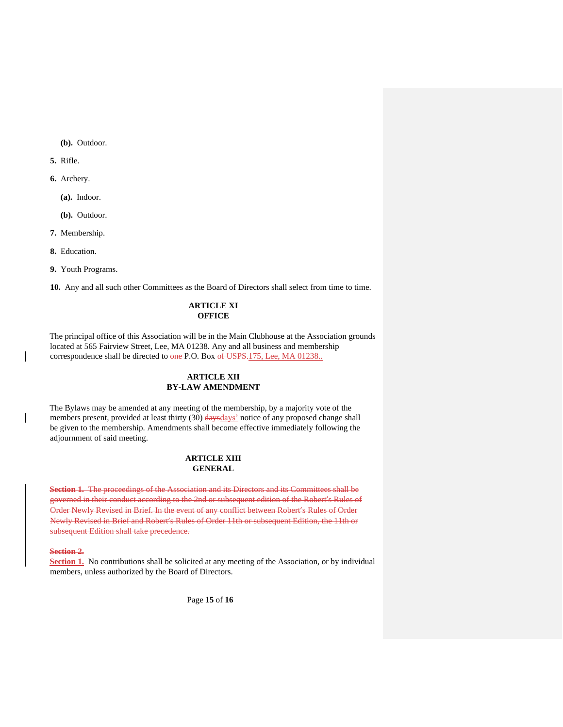**(b).** Outdoor.

**5.** Rifle.

**6.** Archery.

**(a).** Indoor.

**(b).** Outdoor.

**7.** Membership.

**8.** Education.

**9.** Youth Programs.

**10.** Any and all such other Committees as the Board of Directors shall select from time to time.

# **ARTICLE XI OFFICE**

The principal office of this Association will be in the Main Clubhouse at the Association grounds located at 565 Fairview Street, Lee, MA 01238. Any and all business and membership correspondence shall be directed to one P.O. Box of USPS.175, Lee, MA 01238..

# **ARTICLE XII BY-LAW AMENDMENT**

The Bylaws may be amended at any meeting of the membership, by a majority vote of the members present, provided at least thirty (30) days days' notice of any proposed change shall be given to the membership. Amendments shall become effective immediately following the adjournment of said meeting.

# **ARTICLE XIII GENERAL**

**Section 1.** The proceedings of the Association and its Directors and its Committees shall be governed in their conduct according to the 2nd or subsequent edition of the Robert's Rules of Order Newly Revised in Brief. In the event of any conflict between Robert's Rules of Order Newly Revised in Brief and Robert's Rules of Order 11th or subsequent Edition, the 11th or subsequent Edition shall take precedence.

#### **Section 2.**

**Section 1.** No contributions shall be solicited at any meeting of the Association, or by individual members, unless authorized by the Board of Directors.

Page **15** of **16**